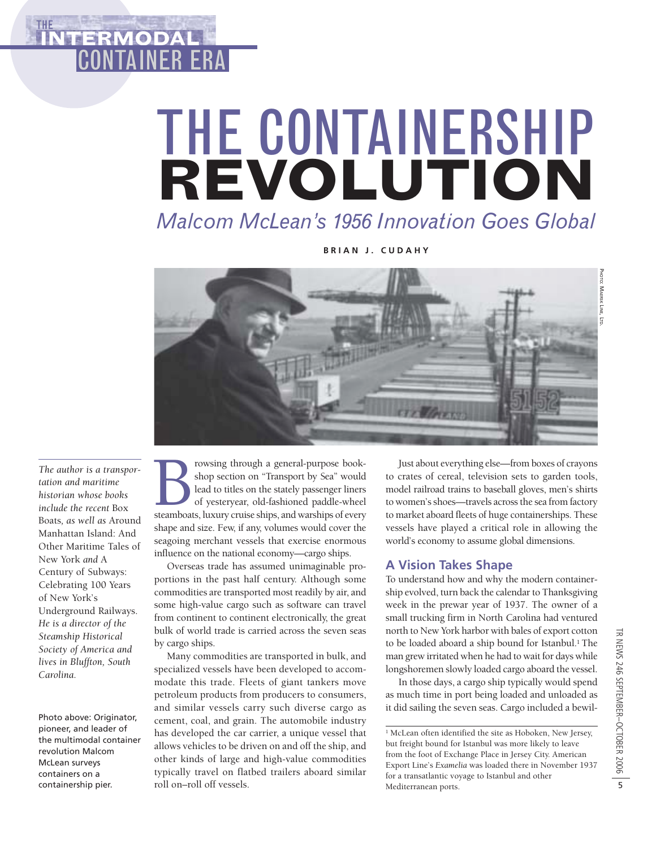# THE **ITERMOD** CONTAINER ERA

# THE CONTAINERSHIP **REVOLUTION** *Malcom McLean's 1956 Innovation Goes Global*

**BRIAN J. CUDAHY**



PHOTO: MAERSK PHOTO: MAERSK LINE, LTD

*The author is a transportation and maritime historian whose books include the recent* Box Boats*, as well as* Around Manhattan Island: And Other Maritime Tales of New York *and* A Century of Subways: Celebrating 100 Years of New York's Underground Railways. *He is a director of the Steamship Historical Society of America and lives in Bluffton, South Carolina.*

Photo above: Originator, pioneer, and leader of the multimodal container revolution Malcom McLean surveys containers on a containership pier.

**Example 3** rowsing through a general-purpose book-<br>shop section on "Transport by Sea" would<br>lead to titles on the stately passenger liners<br>of yesteryear, old-fashioned paddle-wheel<br>steamboats, luxury cruise ships, and war shop section on "Transport by Sea" would lead to titles on the stately passenger liners of yesteryear, old-fashioned paddle-wheel shape and size. Few, if any, volumes would cover the seagoing merchant vessels that exercise enormous influence on the national economy—cargo ships.

Overseas trade has assumed unimaginable proportions in the past half century. Although some commodities are transported most readily by air, and some high-value cargo such as software can travel from continent to continent electronically, the great bulk of world trade is carried across the seven seas by cargo ships.

Many commodities are transported in bulk, and specialized vessels have been developed to accommodate this trade. Fleets of giant tankers move petroleum products from producers to consumers, and similar vessels carry such diverse cargo as cement, coal, and grain. The automobile industry has developed the car carrier, a unique vessel that allows vehicles to be driven on and off the ship, and other kinds of large and high-value commodities typically travel on flatbed trailers aboard similar roll on–roll off vessels.

Just about everything else—from boxes of crayons to crates of cereal, television sets to garden tools, model railroad trains to baseball gloves, men's shirts to women's shoes—travels across the sea from factory to market aboard fleets of huge containerships. These vessels have played a critical role in allowing the world's economy to assume global dimensions.

# **A Vision Takes Shape**

To understand how and why the modern containership evolved, turn back the calendar to Thanksgiving week in the prewar year of 1937. The owner of a small trucking firm in North Carolina had ventured north to New York harbor with bales of export cotton to be loaded aboard a ship bound for Istanbul.<sup>1</sup> The man grew irritated when he had to wait for days while longshoremen slowly loaded cargo aboard the vessel.

In those days, a cargo ship typically would spend as much time in port being loaded and unloaded as it did sailing the seven seas. Cargo included a bewil-

<sup>1</sup> McLean often identified the site as Hoboken. New Jersey, but freight bound for Istanbul was more likely to leave from the foot of Exchange Place in Jersey City. American Export Line's *Examelia* was loaded there in November 1937 for a transatlantic voyage to Istanbul and other Mediterranean ports.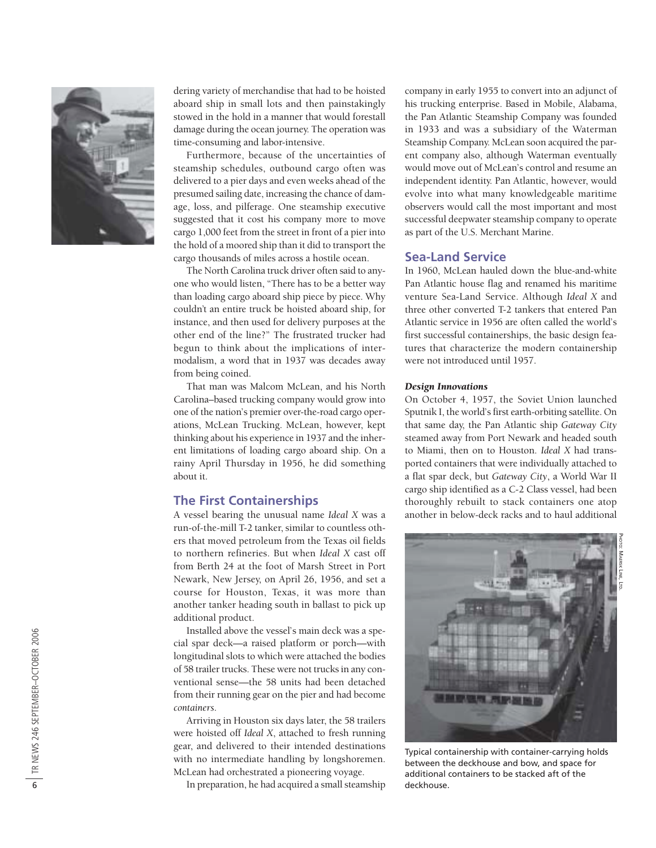

dering variety of merchandise that had to be hoisted aboard ship in small lots and then painstakingly stowed in the hold in a manner that would forestall damage during the ocean journey. The operation was time-consuming and labor-intensive.

Furthermore, because of the uncertainties of steamship schedules, outbound cargo often was delivered to a pier days and even weeks ahead of the presumed sailing date, increasing the chance of damage, loss, and pilferage. One steamship executive suggested that it cost his company more to move cargo 1,000 feet from the street in front of a pier into the hold of a moored ship than it did to transport the cargo thousands of miles across a hostile ocean.

The North Carolina truck driver often said to anyone who would listen, "There has to be a better way than loading cargo aboard ship piece by piece. Why couldn't an entire truck be hoisted aboard ship, for instance, and then used for delivery purposes at the other end of the line?" The frustrated trucker had begun to think about the implications of intermodalism, a word that in 1937 was decades away from being coined.

That man was Malcom McLean, and his North Carolina–based trucking company would grow into one of the nation's premier over-the-road cargo operations, McLean Trucking. McLean, however, kept thinking about his experience in 1937 and the inherent limitations of loading cargo aboard ship. On a rainy April Thursday in 1956, he did something about it.

### **The First Containerships**

A vessel bearing the unusual name *Ideal X* was a run-of-the-mill T-2 tanker, similar to countless others that moved petroleum from the Texas oil fields to northern refineries. But when *Ideal X* cast off from Berth 24 at the foot of Marsh Street in Port Newark, New Jersey, on April 26, 1956, and set a course for Houston, Texas, it was more than another tanker heading south in ballast to pick up additional product.

Installed above the vessel's main deck was a special spar deck—a raised platform or porch—with longitudinal slots to which were attached the bodies of 58 trailer trucks. These were not trucks in any conventional sense—the 58 units had been detached from their running gear on the pier and had become *containers* .

Arriving in Houston six days later, the 58 trailers were hoisted off *Ideal X*, attached to fresh running gear, and delivered to their intended destinations with no intermediate handling by longshoremen. McLean had orchestrated a pioneering voyage.

In preparation, he had acquired a small steamship

company in early 1955 to convert into an adjunct of his trucking enterprise. Based in Mobile, Alabama, the Pan Atlantic Steamship Company was founded in 1933 and was a subsidiary of the Waterman Steamship Company. McLean soon acquired the parent company also, although Waterman eventually would move out of McLean's control and resume an independent identity. Pan Atlantic, however, would evolve into what many knowledgeable maritime observers would call the most important and most successful deepwater steamship company to operate as part of the U.S. Merchant Marine.

## **Sea-Land Service**

In 1960, McLean hauled down the blue-and-white Pan Atlantic house flag and renamed his maritime venture Sea-Land Service. Although *Ideal X* and three other converted T-2 tankers that entered Pan Atlantic service in 1956 are often called the world's first successful containerships, the basic design features that characterize the modern containership were not introduced until 1957.

#### *Design Innovations*

On October 4, 1957, the Soviet Union launched Sputnik I, the world's first earth-orbiting satellite. On that same day, the Pan Atlantic ship *Gateway City* steamed away from Port Newark and headed south to Miami, then on to Houston. *Ideal X* had transported containers that were individually attached to a flat spar deck, but *Gateway City*, a World War II cargo ship identified as a C-2 Class vessel, had been thoroughly rebuilt to stack containers one atop another in below-deck racks and to haul additional



Typical containership with container-carrying holds between the deckhouse and bow, and space for additional containers to be stacked aft of the deckhouse.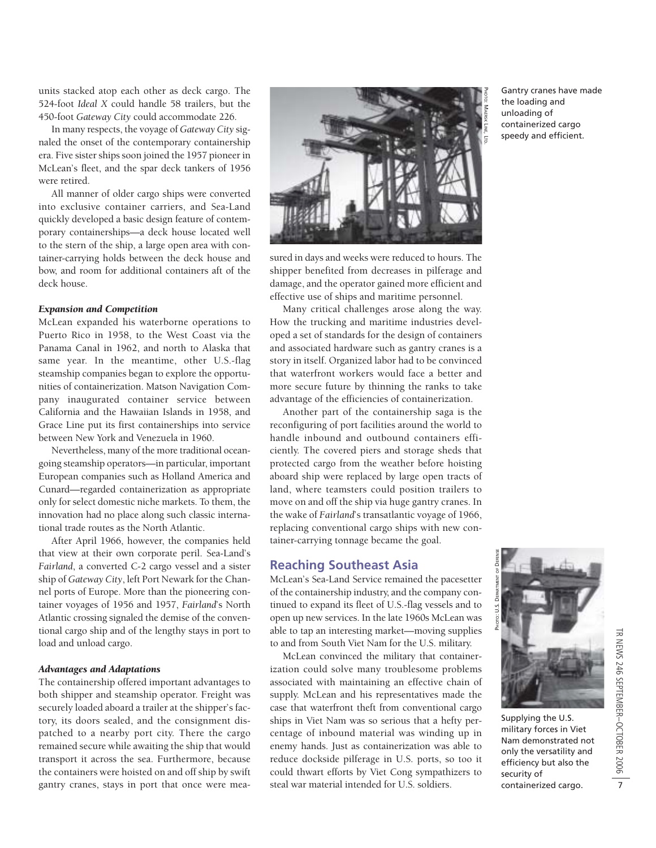units stacked atop each other as deck cargo. The 524-foot *Ideal X* could handle 58 trailers, but the 450-foot *Gateway City* could accommodate 226.

In many respects, the voyage of *Gateway City* signaled the onset of the contemporary containership era. Five sister ships soon joined the 1957 pioneer in McLean's fleet, and the spar deck tankers of 1956 were retired.

All manner of older cargo ships were converted into exclusive container carriers, and Sea-Land quickly developed a basic design feature of contemporary containerships—a deck house located well to the stern of the ship, a large open area with container-carrying holds between the deck house and bow, and room for additional containers aft of the deck house.

#### *Expansion and Competition*

McLean expanded his waterborne operations to Puerto Rico in 1958, to the West Coast via the Panama Canal in 1962, and north to Alaska that same year. In the meantime, other U.S.-flag steamship companies began to explore the opportunities of containerization. Matson Navigation Company inaugurated container service between California and the Hawaiian Islands in 1958, and Grace Line put its first containerships into service between New York and Venezuela in 1960.

Nevertheless, many of the more traditional oceangoing steamship operators—in particular, important European companies such as Holland America and Cunard—regarded containerization as appropriate only for select domestic niche markets. To them, the innovation had no place along such classic international trade routes as the North Atlantic.

After April 1966, however, the companies held that view at their own corporate peril. Sea-Land's *Fairland*, a converted C-2 cargo vessel and a sister ship of *Gateway City*, left Port Newark for the Channel ports of Europe. More than the pioneering container voyages of 1956 and 1957, *Fairland*'s North Atlantic crossing signaled the demise of the conventional cargo ship and of the lengthy stays in port to load and unload cargo.

#### *Advantages and Adaptations*

The containership offered important advantages to both shipper and steamship operator. Freight was securely loaded aboard a trailer at the shipper's factory, its doors sealed, and the consignment dispatched to a nearby port city. There the cargo remained secure while awaiting the ship that would transport it across the sea. Furthermore, because the containers were hoisted on and off ship by swift gantry cranes, stays in port that once were mea-



sured in days and weeks were reduced to hours. The shipper benefited from decreases in pilferage and damage, and the operator gained more efficient and effective use of ships and maritime personnel.

Many critical challenges arose along the way. How the trucking and maritime industries developed a set of standards for the design of containers and associated hardware such as gantry cranes is a story in itself. Organized labor had to be convinced that waterfront workers would face a better and more secure future by thinning the ranks to take advantage of the efficiencies of containerization.

Another part of the containership saga is the reconfiguring of port facilities around the world to handle inbound and outbound containers efficiently. The covered piers and storage sheds that protected cargo from the weather before hoisting aboard ship were replaced by large open tracts of land, where teamsters could position trailers to move on and off the ship via huge gantry cranes. In the wake of *Fairland*'s transatlantic voyage of 1966, replacing conventional cargo ships with new container-carrying tonnage became the goal.

#### **Reaching Southeast Asia**

McLean's Sea-Land Service remained the pacesetter of the containership industry, and the company continued to expand its fleet of U.S.-flag vessels and to open up new services. In the late 1960s McLean was able to tap an interesting market—moving supplies to and from South Viet Nam for the U.S. military.

McLean convinced the military that containerization could solve many troublesome problems associated with maintaining an effective chain of supply. McLean and his representatives made the case that waterfront theft from conventional cargo ships in Viet Nam was so serious that a hefty percentage of inbound material was winding up in enemy hands. Just as containerization was able to reduce dockside pilferage in U.S. ports, so too it could thwart efforts by Viet Cong sympathizers to steal war material intended for U.S. soldiers.



Supplying the U.S. military forces in Viet Nam demonstrated not only the versatility and efficiency but also the security of containerized cargo.

Gantry cranes have made the loading and unloading of containerized cargo speedy and efficient.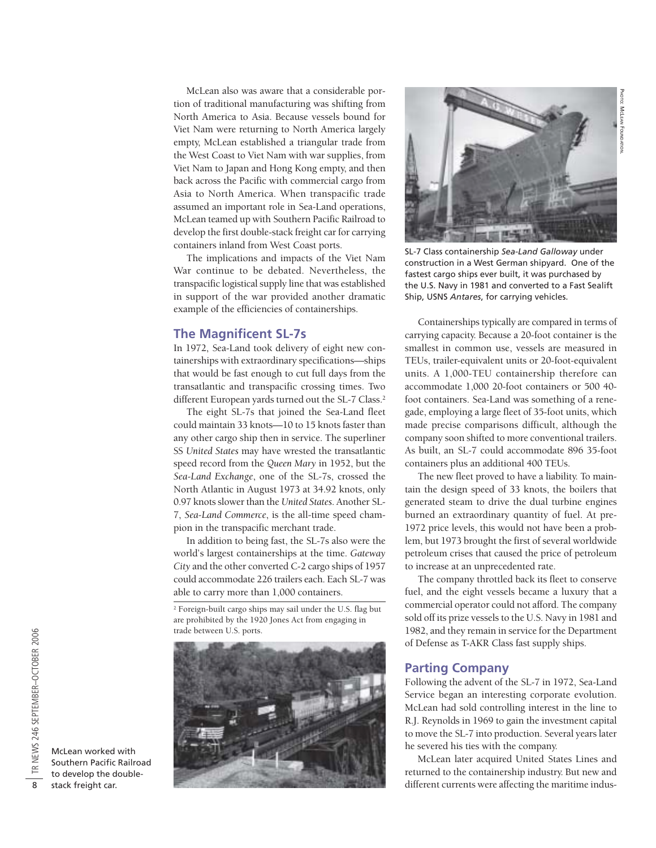PHOTO: MCLEAN

HOTO: MCLEAN FOUNDATION FOUNDATION.

McLean also was aware that a considerable portion of traditional manufacturing was shifting from North America to Asia. Because vessels bound for Viet Nam were returning to North America largely empty, McLean established a triangular trade from the West Coast to Viet Nam with war supplies, from Viet Nam to Japan and Hong Kong empty, and then back across the Pacific with commercial cargo from Asia to North America. When transpacific trade assumed an important role in Sea-Land operations, McLean teamed up with Southern Pacific Railroad to develop the first double-stack freight car for carrying containers inland from West Coast ports.

The implications and impacts of the Viet Nam War continue to be debated. Nevertheless, the transpacific logistical supply line that was established in support of the war provided another dramatic example of the efficiencies of containerships.

# **The Magnificent SL-7s**

In 1972, Sea-Land took delivery of eight new containerships with extraordinary specifications—ships that would be fast enough to cut full days from the transatlantic and transpacific crossing times. Two different European yards turned out the SL-7 Class.<sup>2</sup>

The eight SL-7s that joined the Sea-Land fleet could maintain 33 knots—10 to 15 knots faster than any other cargo ship then in service. The superliner SS *United States* may have wrested the transatlantic speed record from the *Queen Mary* in 1952, but the *Sea-Land Exchange*, one of the SL-7s, crossed the North Atlantic in August 1973 at 34.92 knots, only 0.97 knots slower than the *United States*. Another SL-7, *Sea-Land Commerce*, is the all-time speed champion in the transpacific merchant trade.

In addition to being fast, the SL-7s also were the world's largest containerships at the time. *Gateway City* and the other converted C-2 cargo ships of 1957 could accommodate 226 trailers each. Each SL-7 was able to carry more than 1,000 containers.

<sup>2</sup> Foreign-built cargo ships may sail under the U.S. flag but are prohibited by the 1920 Jones Act from engaging in trade between U.S. ports.





SL-7 Class containership *Sea-Land Galloway* under construction in a West German shipyard. One of the fastest cargo ships ever built, it was purchased by the U.S. Navy in 1981 and converted to a Fast Sealift Ship, USNS *Antares*, for carrying vehicles.

Containerships typically are compared in terms of carrying capacity. Because a 20-foot container is the smallest in common use, vessels are measured in TEUs, trailer-equivalent units or 20-foot-equivalent units. A 1,000-TEU containership therefore can accommodate 1,000 20-foot containers or 500 40 foot containers. Sea-Land was something of a renegade, employing a large fleet of 35-foot units, which made precise comparisons difficult, although the company soon shifted to more conventional trailers. As built, an SL-7 could accommodate 896 35-foot containers plus an additional 400 TEUs.

The new fleet proved to have a liability. To maintain the design speed of 33 knots, the boilers that generated steam to drive the dual turbine engines burned an extraordinary quantity of fuel. At pre-1972 price levels, this would not have been a problem, but 1973 brought the first of several worldwide petroleum crises that caused the price of petroleum to increase at an unprecedented rate.

The company throttled back its fleet to conserve fuel, and the eight vessels became a luxury that a commercial operator could not afford. The company sold off its prize vessels to the U.S. Navy in 1981 and 1982, and they remain in service for the Department of Defense as T-AKR Class fast supply ships.

## **Parting Company**

Following the advent of the SL-7 in 1972, Sea-Land Service began an interesting corporate evolution. McLean had sold controlling interest in the line to R.J. Reynolds in 1969 to gain the investment capital to move the SL-7 into production. Several years later he severed his ties with the company.

McLean later acquired United States Lines and returned to the containership industry. But new and different currents were affecting the maritime indus-

McLean worked with Southern Pacific Railroad to develop the doublestack freight car.